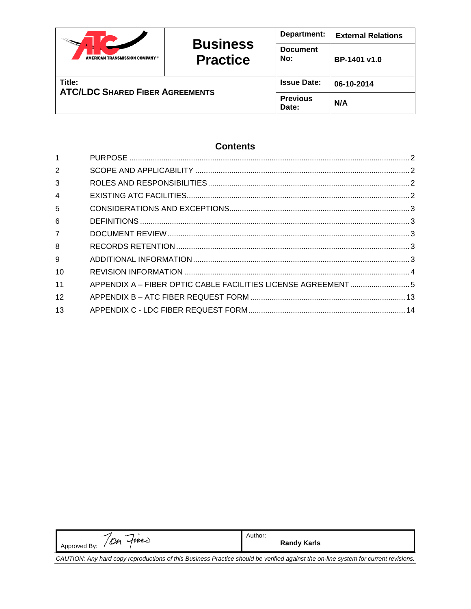|                                        | <b>Business</b><br><b>Practice</b> | Department:              | <b>External Relations</b> |
|----------------------------------------|------------------------------------|--------------------------|---------------------------|
| <b>AMERICAN TRANSMISSION COMPANY®</b>  |                                    | <b>Document</b><br>No:   | BP-1401 v1.0              |
| Title:                                 |                                    | <b>Issue Date:</b>       | 06-10-2014                |
| <b>ATC/LDC SHARED FIBER AGREEMENTS</b> |                                    | <b>Previous</b><br>Date: | N/A                       |

# **Contents**

| $\mathbf 1$    |                                                               |  |
|----------------|---------------------------------------------------------------|--|
| 2              |                                                               |  |
| 3              |                                                               |  |
| $\overline{4}$ |                                                               |  |
| 5              |                                                               |  |
| 6              |                                                               |  |
| $\overline{7}$ |                                                               |  |
| 8              |                                                               |  |
| 9              |                                                               |  |
| 10             |                                                               |  |
| 11             | APPENDIX A - FIBER OPTIC CABLE FACILITIES LICENSE AGREEMENT 5 |  |
| 12             |                                                               |  |
| 13             |                                                               |  |

| Approved By: / Oh fines                                                                                                             | Author:<br><b>Randy Karls</b> |  |
|-------------------------------------------------------------------------------------------------------------------------------------|-------------------------------|--|
| CAUTION: Any hard copy reproductions of this Business Practice should be verified against the on-line system for current revisions. |                               |  |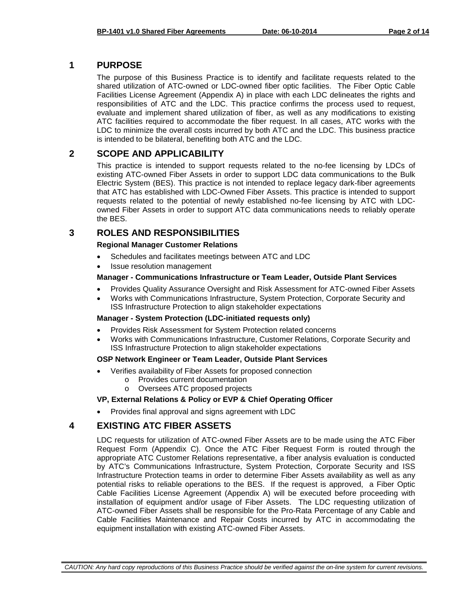# <span id="page-1-0"></span>**1 PURPOSE**

The purpose of this Business Practice is to identify and facilitate requests related to the shared utilization of ATC-owned or LDC-owned fiber optic facilities. The Fiber Optic Cable Facilities License Agreement (Appendix A) in place with each LDC delineates the rights and responsibilities of ATC and the LDC. This practice confirms the process used to request, evaluate and implement shared utilization of fiber, as well as any modifications to existing ATC facilities required to accommodate the fiber request. In all cases, ATC works with the LDC to minimize the overall costs incurred by both ATC and the LDC. This business practice is intended to be bilateral, benefiting both ATC and the LDC.

# <span id="page-1-1"></span>**2 SCOPE AND APPLICABILITY**

This practice is intended to support requests related to the no-fee licensing by LDCs of existing ATC-owned Fiber Assets in order to support LDC data communications to the Bulk Electric System (BES). This practice is not intended to replace legacy dark-fiber agreements that ATC has established with LDC-Owned Fiber Assets. This practice is intended to support requests related to the potential of newly established no-fee licensing by ATC with LDCowned Fiber Assets in order to support ATC data communications needs to reliably operate the BES.

# <span id="page-1-2"></span>**3 ROLES AND RESPONSIBILITIES**

### **Regional Manager Customer Relations**

- Schedules and facilitates meetings between ATC and LDC
- Issue resolution management

### **Manager - Communications Infrastructure or Team Leader, Outside Plant Services**

- Provides Quality Assurance Oversight and Risk Assessment for ATC-owned Fiber Assets
- Works with Communications Infrastructure, System Protection, Corporate Security and ISS Infrastructure Protection to align stakeholder expectations

### **Manager - System Protection (LDC-initiated requests only)**

- Provides Risk Assessment for System Protection related concerns
- Works with Communications Infrastructure, Customer Relations, Corporate Security and ISS Infrastructure Protection to align stakeholder expectations

### **OSP Network Engineer or Team Leader, Outside Plant Services**

- Verifies availability of Fiber Assets for proposed connection
	- o Provides current documentation
	- o Oversees ATC proposed projects

# **VP, External Relations & Policy or EVP & Chief Operating Officer**

• Provides final approval and signs agreement with LDC

# <span id="page-1-3"></span>**4 EXISTING ATC FIBER ASSETS**

LDC requests for utilization of ATC-owned Fiber Assets are to be made using the ATC Fiber Request Form (Appendix C). Once the ATC Fiber Request Form is routed through the appropriate ATC Customer Relations representative, a fiber analysis evaluation is conducted by ATC's Communications Infrastructure, System Protection, Corporate Security and ISS Infrastructure Protection teams in order to determine Fiber Assets availability as well as any potential risks to reliable operations to the BES. If the request is approved, a Fiber Optic Cable Facilities License Agreement (Appendix A) will be executed before proceeding with installation of equipment and/or usage of Fiber Assets. The LDC requesting utilization of ATC-owned Fiber Assets shall be responsible for the Pro-Rata Percentage of any Cable and Cable Facilities Maintenance and Repair Costs incurred by ATC in accommodating the equipment installation with existing ATC-owned Fiber Assets.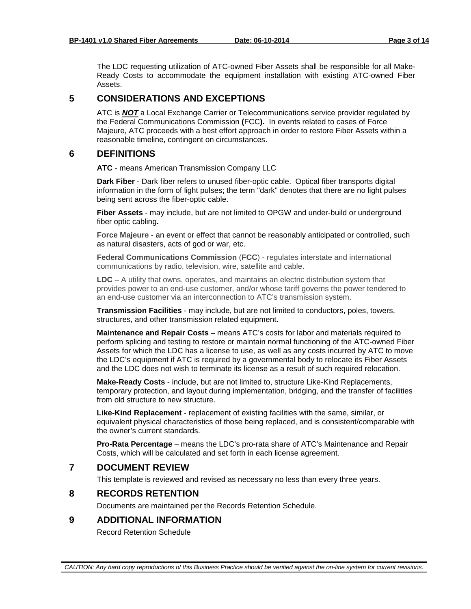The LDC requesting utilization of ATC-owned Fiber Assets shall be responsible for all Make-Ready Costs to accommodate the equipment installation with existing ATC-owned Fiber Assets.

# <span id="page-2-0"></span>**5 CONSIDERATIONS AND EXCEPTIONS**

ATC is *NOT* a Local Exchange Carrier or Telecommunications service provider regulated by the Federal Communications Commission **(**FCC**).** In events related to cases of Force Majeure**,** ATC proceeds with a best effort approach in order to restore Fiber Assets within a reasonable timeline, contingent on circumstances.

# <span id="page-2-1"></span>**6 DEFINITIONS**

**ATC** - means American Transmission Company LLC

**Dark Fiber** - Dark fiber refers to unused fiber-optic cable. Optical fiber transports digital information in the form of light pulses; the term "dark" denotes that there are no light pulses being sent across the fiber-optic cable.

**Fiber Assets** - may include, but are not limited to OPGW and under-build or underground fiber optic cabling**.** 

**Force Majeure** - an event or effect that cannot be reasonably anticipated or controlled, such as natural disasters, acts of god or war, etc.

**Federal Communications Commission** (**FCC**) - regulates interstate and international communications by radio, television, wire, satellite and cable.

**LDC** – A utility that owns, operates, and maintains an electric distribution system that provides power to an end-use customer, and/or whose tariff governs the power tendered to an end-use customer via an interconnection to ATC's transmission system.

**Transmission Facilities** - may include, but are not limited to conductors, poles, towers, structures, and other transmission related equipment**.** 

**Maintenance and Repair Costs** – means ATC's costs for labor and materials required to perform splicing and testing to restore or maintain normal functioning of the ATC-owned Fiber Assets for which the LDC has a license to use, as well as any costs incurred by ATC to move the LDC's equipment if ATC is required by a governmental body to relocate its Fiber Assets and the LDC does not wish to terminate its license as a result of such required relocation.

**Make-Ready Costs** - include, but are not limited to, structure Like-Kind Replacements, temporary protection, and layout during implementation, bridging, and the transfer of facilities from old structure to new structure.

**Like-Kind Replacement** - replacement of existing facilities with the same, similar, or equivalent physical characteristics of those being replaced, and is consistent/comparable with the owner's current standards.

**Pro-Rata Percentage** – means the LDC's pro-rata share of ATC's Maintenance and Repair Costs, which will be calculated and set forth in each license agreement.

# <span id="page-2-2"></span>**7 DOCUMENT REVIEW**

This template is reviewed and revised as necessary no less than every three years.

# <span id="page-2-3"></span>**8 RECORDS RETENTION**

Documents are maintained per the Records Retention Schedule.

# <span id="page-2-4"></span>**9 ADDITIONAL INFORMATION**

Record Retention Schedule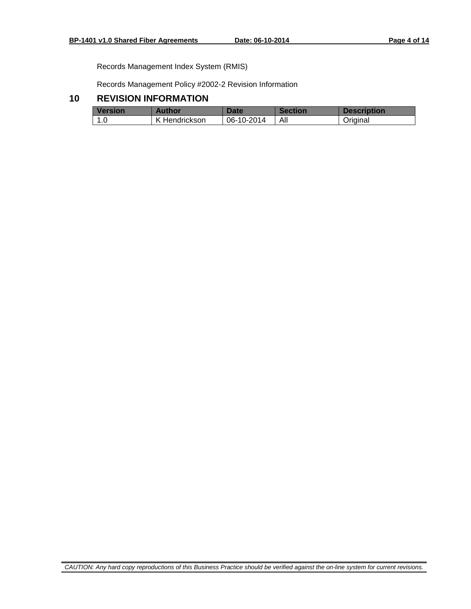Records Management Index System (RMIS)

Records Management Policy #2002-2 Revision Information

# <span id="page-3-0"></span>**10 REVISION INFORMATION**

| <b>Version</b> | Author             | Date       | <b>Section</b> | <b>Description</b> |
|----------------|--------------------|------------|----------------|--------------------|
| -1.0           | . Hendrickson<br>K | 06-10-2014 | All            | Original           |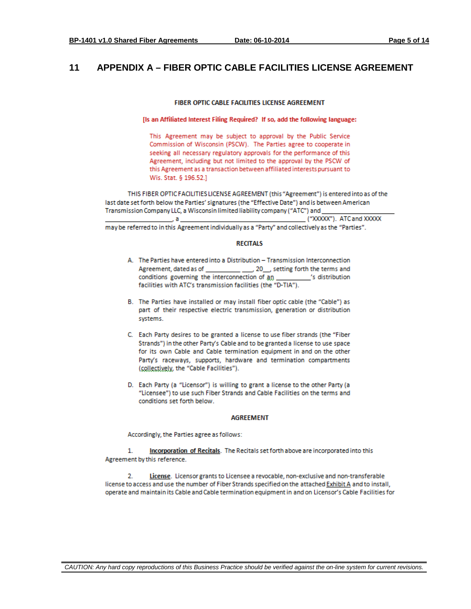# <span id="page-4-0"></span>**11 APPENDIX A – FIBER OPTIC CABLE FACILITIES LICENSE AGREEMENT**

### FIBER OPTIC CABLE FACILITIES LICENSE AGREEMENT

[Is an Affiliated Interest Filing Required? If so, add the following language:

This Agreement may be subject to approval by the Public Service Commission of Wisconsin (PSCW). The Parties agree to cooperate in seeking all necessary regulatory approvals for the performance of this Agreement, including but not limited to the approval by the PSCW of this Agreement as a transaction between affiliated interests pursuant to Wis. Stat. § 196.52.]

THIS FIBER OPTIC FACILITIES LICENSE AGREEMENT (this "Agreement") is entered into as of the last date set forth below the Parties' signatures (the "Effective Date") and is between American Transmission Company LLC, a Wisconsin limited liability company ("ATC") and

("XXXXX"). ATC and XXXXX i, a i may be referred to in this Agreement individually as a "Party" and collectively as the "Parties".

#### **RECITALS**

- A. The Parties have entered into a Distribution Transmission Interconnection Agreement, dated as of \_\_\_\_\_\_\_\_\_\_ \_\_\_\_, 20\_\_, setting forth the terms and conditions governing the interconnection of an \_\_\_\_\_\_\_\_\_\_\_'s distribution facilities with ATC's transmission facilities (the "D-TIA").
- B. The Parties have installed or may install fiber optic cable (the "Cable") as part of their respective electric transmission, generation or distribution systems.
- C. Each Party desires to be granted a license to use fiber strands (the "Fiber Strands") in the other Party's Cable and to be granted a license to use space for its own Cable and Cable termination equipment in and on the other Party's raceways, supports, hardware and termination compartments (collectively, the "Cable Facilities").
- D. Each Party (a "Licensor") is willing to grant a license to the other Party (a "Licensee") to use such Fiber Strands and Cable Facilities on the terms and conditions set forth below.

#### **AGREEMENT**

Accordingly, the Parties agree as follows:

 $1.$ Incorporation of Recitals. The Recitals set forth above are incorporated into this Agreement by this reference.

 $2.$ License. Licensor grants to Licensee a revocable, non-exclusive and non-transferable license to access and use the number of Fiber Strands specified on the attached Exhibit A and to install, operate and maintain its Cable and Cable termination equipment in and on Licensor's Cable Facilities for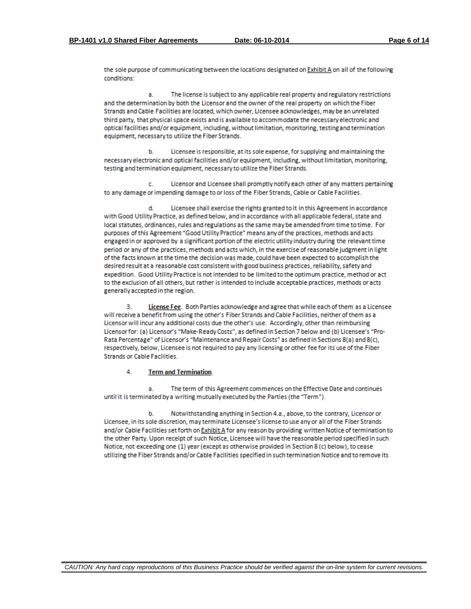the sole purpose of communicating between the locations designated on Exhibit A on all of the following conditions:

The license is subject to any applicable real property and regulatory restrictions a and the determination by both the Licensor and the owner of the real property on which the Fiber Strands and Cable Facilities are located, which owner, Licensee acknowledges, may be an unrelated third party, that physical space exists and is available to accommodate the necessary electronic and optical facilities and/or equipment, including, without limitation, monitoring, testing and termination equipment, necessary to utilize the Fiber Strands.

Licensee is responsible, at its sole expense, for supplying and maintaining the ы necessary electronic and optical facilities and/or equipment, including, without limitation, monitoring, testing and termination equipment, necessary to utilize the Fiber Strands.

Licensor and Licensee shall promptly notify each other of any matters pertaining Ċ. to any damage or impending damage to or loss of the Fiber Strands, Cable or Cable Facilities.

Licensee shall exercise the rights granted to it in this Agreement in accordance with Good Utility Practice, as defined below, and in accordance with all applicable federal, state and local statutes, ordinances, rules and regulations as the same may be amended from time to time. For purposes of this Agreement "Good Utility Practice" means any of the practices, methods and acts engaged in or approved by a significant portion of the electric utility industry during the relevant time period or any of the practices, methods and acts which, in the exercise of reasonable judgment in light of the facts known at the time the decision was made, could have been expected to accomplish the desired result at a reasonable cost consistent with good business practices, reliability, safety and expedition. Good Utility Practice is not intended to be limited to the optimum practice, method or act to the exclusion of all others, but rather is intended to include acceptable practices, methods or acts generally accepted in the region.

License Fee. Both Parties acknowledge and agree that while each of them as a Licensee з. will receive a benefit from using the other's Fiber Strands and Cable Facilities, neither of them as a Licensor will incur any additional costs due the other's use. Accordingly, other than reimbursing Licensor for: (a) Licensor's "Make-Ready Costs", as defined in Section 7 below and (b) Licensee's "Pro-Rata Percentage" of Licensor's "Maintenance and Repair Costs" as defined in Sections 8(a) and 8(c). respectively, below, Licensee is not required to pay any licensing or other fee for its use of the Fiber **Strands or Cable Facilities.** 

#### 4 **Term and Termination.**

The term of this Agreement commences on the Effective Date and continues a. until it is terminated by a writing mutually executed by the Parties (the "Term").

Notwithstanding anything in Section 4.a., above, to the contrary, Licensor or b. Licensee, in its sole discretion, may terminate Licensee's license to use any or all of the Fiber Strands and/or Cable Facilities set forth on Exhibit A for any reason by providing written Notice of termination to the other Party. Upon receipt of such Notice, Licensee will have the reasonable period specified in such Notice, not exceeding one (1) year (except as otherwise provided in Section 8 (c) below), to cease utilizing the Fiber Strands and/or Cable Facilities specified in such termination Notice and to remove its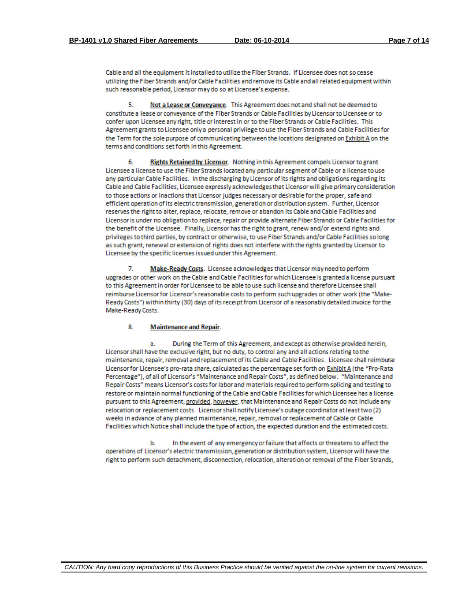Cable and all the equipment it installed to utilize the Fiber Strands. If Licensee does not so cease utilizing the Fiber Strands and/or Cable Facilities and remove its Cable and all related equipment within such reasonable period, Licensor may do so at Licensee's expense.

5. Not a Lease or Conveyance. This Agreement does not and shall not be deemed to constitute a lease or conveyance of the Fiber Strands or Cable Facilities by Licensor to Licensee or to confer upon Licensee any right, title or interest in or to the Fiber Strands or Cable Facilities. This Agreement grants to Licensee only a personal privilege to use the Fiber Strands and Cable Facilities for the Term for the sole purpose of communicating between the locations designated on Exhibit A on the terms and conditions set forth in this Agreement.

Rights Retained by Licensor. Nothing in this Agreement compels Licensor to grant 6. Licensee a license to use the Fiber Strands located any particular segment of Cable or a license to use any particular Cable Facilities. In the discharging by Licensor of its rights and obligations regarding its Cable and Cable Facilities, Licensee expressly acknowledges that Licensor will give primary consideration to those actions or inactions that Licensor judges necessary or desirable for the proper, safe and efficient operation of its electric transmission, generation or distribution system. Further, Licensor reserves the right to alter, replace, relocate, remove or abandon its Cable and Cable Facilities and Licensor is under no obligation to replace, repair or provide alternate Fiber Strands or Cable Facilities for the benefit of the Licensee. Finally, Licensor has the right to grant, renew and/or extend rights and privileges to third parties, by contract or otherwise, to use Fiber Strands and/or Cable Facilities so long as such grant, renewal or extension of rights does not interfere with the rights granted by Licensor to Licensee by the specific licenses issued under this Agreement.

Make-Ready Costs. Licensee acknowledges that Licensor may need to perform 7. upgrades or other work on the Cable and Cable Facilities for which Licensee is granted a license pursuant to this Agreement in order for Licensee to be able to use such license and therefore Licensee shall reimburse Licensor for Licensor's reasonable costs to perform such upgrades or other work (the "Make-Ready Costs") within thirty (30) days of its receipt from Licensor of a reasonably detailed invoice for the Make-Ready Costs.

#### 8. **Maintenance and Repair.**

During the Term of this Agreement, and except as otherwise provided herein, a. Licensor shall have the exclusive right, but no duty, to control any and all actions relating to the maintenance, repair, removal and replacement of its Cable and Cable Facilities. Licensee shall reimburse Licensor for Licensee's pro-rata share, calculated as the percentage set forth on Exhibit A (the "Pro-Rata Percentage"), of all of Licensor's "Maintenance and Repair Costs", as defined below. "Maintenance and Repair Costs" means Licensor's costs for labor and materials required to perform splicing and testing to restore or maintain normal functioning of the Cable and Cable Facilities for which Licensee has a license pursuant to this Agreement; provided, however, that Maintenance and Repair Costs do not include any relocation or replacement costs. Licensor shall notify Licensee's outage coordinator at least two (2) weeks in advance of any planned maintenance, repair, removal or replacement of Cable or Cable Facilities which Notice shall include the type of action, the expected duration and the estimated costs.

b. In the event of any emergency or failure that affects or threatens to affect the operations of Licensor's electric transmission, generation or distribution system, Licensor will have the right to perform such detachment, disconnection, relocation, alteration or removal of the Fiber Strands,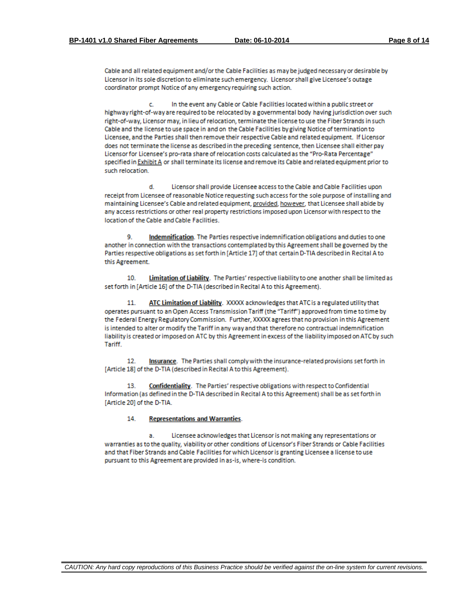Cable and all related equipment and/or the Cable Facilities as may be judged necessary or desirable by Licensor in its sole discretion to eliminate such emergency. Licensor shall give Licensee's outage coordinator prompt Notice of any emergency requiring such action.

In the event any Cable or Cable Facilities located within a public street or c. highway right-of-way are required to be relocated by a governmental body having jurisdiction over such right-of-way, Licensor may, in lieu of relocation, terminate the license to use the Fiber Strands in such Cable and the license to use space in and on the Cable Facilities by giving Notice of termination to Licensee, and the Parties shall then remove their respective Cable and related equipment. If Licensor does not terminate the license as described in the preceding sentence, then Licensee shall either pay Licensor for Licensee's pro-rata share of relocation costs calculated as the "Pro-Rata Percentage" specified in Exhibit A or shall terminate its license and remove its Cable and related equipment prior to such relocation.

d. Licensor shall provide Licensee access to the Cable and Cable Facilities upon receipt from Licensee of reasonable Notice requesting such access for the sole purpose of installing and maintaining Licensee's Cable and related equipment, provided, however, that Licensee shall abide by any access restrictions or other real property restrictions imposed upon Licensor with respect to the location of the Cable and Cable Facilities.

9 Indemnification. The Parties respective indemnification obligations and duties to one another in connection with the transactions contemplated by this Agreement shall be governed by the Parties respective obligations as set forth in [Article 17] of that certain D-TIA described in Recital A to this Agreement.

 $10<sup>1</sup>$ Limitation of Liability. The Parties' respective liability to one another shall be limited as set forth in [Article 16] of the D-TIA (described in Recital A to this Agreement).

ATC Limitation of Liability. XXXXX acknowledges that ATC is a regulated utility that  $11$ operates pursuant to an Open Access Transmission Tariff (the "Tariff") approved from time to time by the Federal Energy Regulatory Commission. Further, XXXXX agrees that no provision in this Agreement is intended to alter or modify the Tariff in any way and that therefore no contractual indemnification liability is created or imposed on ATC by this Agreement in excess of the liability imposed on ATC by such Tariff.

 $12.$ Insurance. The Parties shall comply with the insurance-related provisions set forth in [Article 18] of the D-TIA (described in Recital A to this Agreement).

Confidentiality. The Parties' respective obligations with respect to Confidential 13. Information (as defined in the D-TIA described in Recital A to this Agreement) shall be as set forth in [Article 20] of the D-TIA.

#### 14. **Representations and Warranties.**

Licensee acknowledges that Licensor is not making any representations or a. warranties as to the quality, viability or other conditions of Licensor's Fiber Strands or Cable Facilities and that Fiber Strands and Cable Facilities for which Licensor is granting Licensee a license to use pursuant to this Agreement are provided in as-is, where-is condition.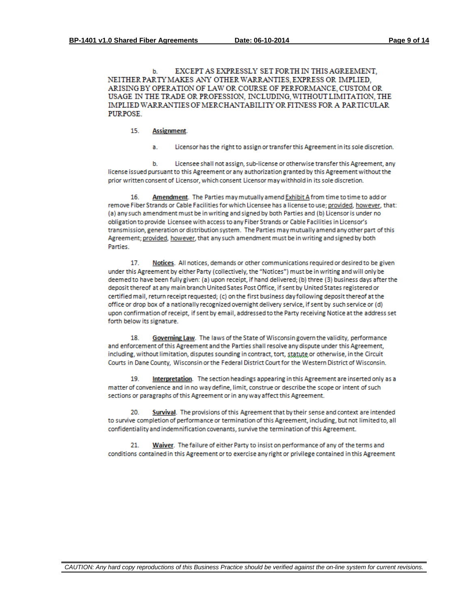EXCEPT AS EXPRESSLY SET FOR THIN THIS AGREEMENT. b. NEITHER PARTY MAKES ANY OTHER WARRANTIES, EXPRESS OR IMPLIED. ARISING BY OPERATION OF LAW OR COURSE OF PERFORMANCE, CUSTOM OR USAGE IN THE TRADE OR PROFESSION, INCLUDING, WITHOUT LIMITATION, THE IMPLIED WARRANTIES OF MERCHANTABILITY OR FITNESS FOR A PARTICULAR PURPOSE.

- 15. Assignment.
	- a. Licensor has the right to assign or transfer this Agreement in its sole discretion.

b. Licensee shall not assign, sub-license or otherwise transfer this Agreement, any license issued pursuant to this Agreement or any authorization granted by this Agreement without the prior written consent of Licensor, which consent Licensor may withhold in its sole discretion.

Amendment. The Parties may mutually amend Exhibit A from time to time to add or 16. remove Fiber Strands or Cable Facilities for which Licensee has a license to use; provided, however, that: (a) any such amendment must be in writing and signed by both Parties and (b) Licensor is under no obligation to provide Licensee with access to any Fiber Strands or Cable Facilities in Licensor's transmission, generation or distribution system. The Parties may mutually amend any other part of this Agreement; provided, however, that any such amendment must be in writing and signed by both Parties.

Notices. All notices, demands or other communications required or desired to be given 17. under this Agreement by either Party (collectively, the "Notices") must be in writing and will only be deemed to have been fully given: (a) upon receipt, if hand delivered; (b) three (3) business days after the deposit thereof at any main branch United Sates Post Office, if sent by United States registered or certified mail, return receipt requested; (c) on the first business day following deposit thereof at the office or drop box of a nationally recognized overnight delivery service, if sent by such service or (d) upon confirmation of receipt, if sent by email, addressed to the Party receiving Notice at the address set forth below its signature.

18. Governing Law. The laws of the State of Wisconsin govern the validity, performance and enforcement of this Agreement and the Parties shall resolve any dispute under this Agreement, including, without limitation, disputes sounding in contract, tort, statute or otherwise, in the Circuit Courts in Dane County, Wisconsin or the Federal District Court for the Western District of Wisconsin.

19. Interpretation. The section headings appearing in this Agreement are inserted only as a matter of convenience and in no way define, limit, construe or describe the scope or intent of such sections or paragraphs of this Agreement or in any way affect this Agreement.

Survival. The provisions of this Agreement that by their sense and context are intended 20. to survive completion of performance or termination of this Agreement, including, but not limited to, all confidentiality and indemnification covenants, survive the termination of this Agreement.

Waiver. The failure of either Party to insist on performance of any of the terms and 21 conditions contained in this Agreement or to exercise any right or privilege contained in this Agreement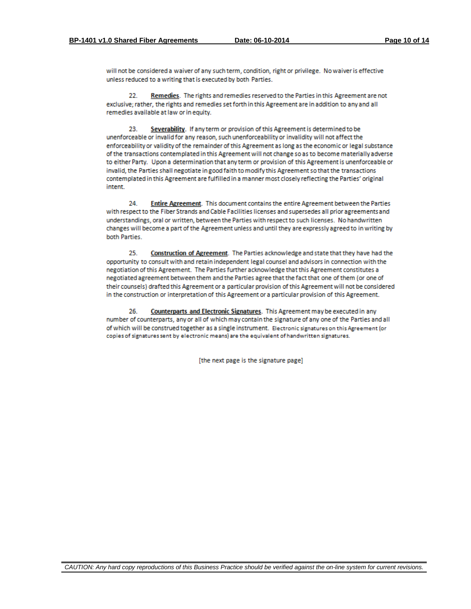will not be considered a waiver of any such term, condition, right or privilege. No waiver is effective unless reduced to a writing that is executed by both Parties.

Remedies. The rights and remedies reserved to the Parties in this Agreement are not 22 exclusive; rather, the rights and remedies set forth in this Agreement are in addition to any and all remedies available at law or in equity.

23. Severability. If any term or provision of this Agreement is determined to be unenforceable or invalid for any reason, such unenforceability or invalidity will not affect the enforceability or validity of the remainder of this Agreement as long as the economic or legal substance of the transactions contemplated in this Agreement will not change so as to become materially adverse to either Party. Upon a determination that any term or provision of this Agreement is unenforceable or invalid, the Parties shall negotiate in good faith to modify this Agreement so that the transactions contemplated in this Agreement are fulfilled in a manner most closely reflecting the Parties' original intent.

Entire Agreement. This document contains the entire Agreement between the Parties  $24$ with respect to the Fiber Strands and Cable Facilities licenses and supersedes all prior agreements and understandings, oral or written, between the Parties with respect to such licenses. No handwritten changes will become a part of the Agreement unless and until they are expressly agreed to in writing by both Parties.

25. Construction of Agreement. The Parties acknowledge and state that they have had the opportunity to consult with and retain independent legal counsel and advisors in connection with the negotiation of this Agreement. The Parties further acknowledge that this Agreement constitutes a negotiated agreement between them and the Parties agree that the fact that one of them (or one of their counsels) drafted this Agreement or a particular provision of this Agreement will not be considered in the construction or interpretation of this Agreement or a particular provision of this Agreement.

Counterparts and Electronic Signatures. This Agreement may be executed in any 26. number of counterparts, any or all of which may contain the signature of any one of the Parties and all of which will be construed together as a single instrument. Electronic signatures on this Agreement (or copies of signatures sent by electronic means) are the equivalent of handwritten signatures.

[the next page is the signature page]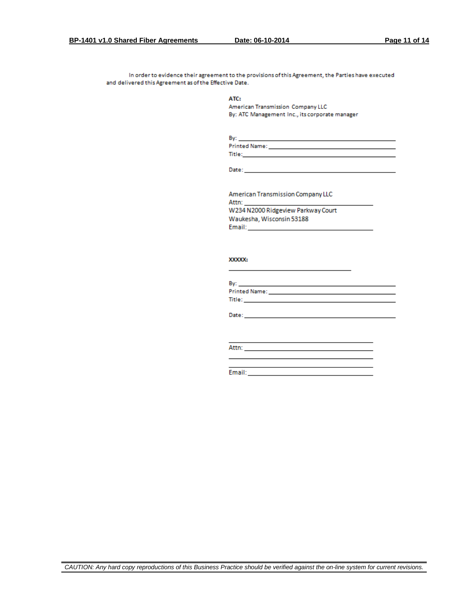In order to evidence their agreement to the provisions of this Agreement, the Parties have executed and delivered this Agreement as of the Effective Date.

ATC:

American Transmission Company LLC By: ATC Management Inc., its corporate manager

| Bv            |  |
|---------------|--|
| Printed Name: |  |
| itle:         |  |

Date: \_\_\_\_\_\_

American Transmission Company LLC Attn: W234 N2000 Ridgeview Parkway Court Waukesha, Wisconsin 53188 Email: **Example 2014** 

#### XXXXX:

| By: <b>Example 2008</b>                                   |  |  |
|-----------------------------------------------------------|--|--|
|                                                           |  |  |
| Title: The Commission of the Commission of the Commission |  |  |
|                                                           |  |  |
| Date:                                                     |  |  |

<u> 1989 - Johann Barn, mars ann an t-Amhain ann an t-Amhain an t-Amhain an t-Amhain an t-Amhain an t-Amhain an t-</u>

Attn: **Attn: Attn: Attn: Attn: Attn: Attn: Attn: Attn: Attn: Attn: Attn: Attn: Attn: Attn: Attn: Attn: Attn: Attn: Attn: Attn: Attn: Attn: Attn: Attn: Attn: Attn: Attn:**

Email: **Email:**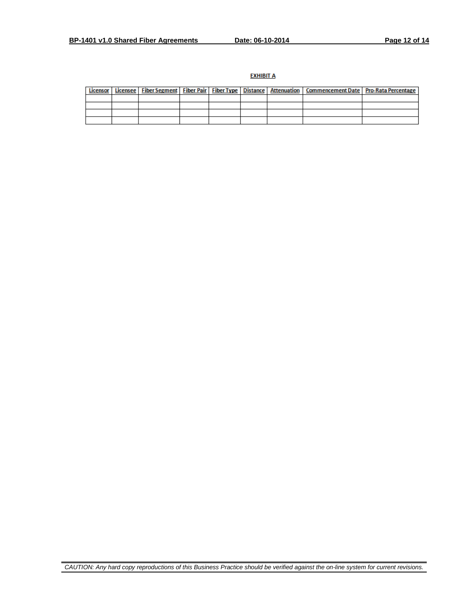### **EXHIBIT A**

|  |  |  | Licensor   Licensee   Fiber Segment   Fiber Pair   Fiber Type   Distance   Attenuation   Commencement Date   Pro-Rata Percentage |  |
|--|--|--|----------------------------------------------------------------------------------------------------------------------------------|--|
|  |  |  |                                                                                                                                  |  |
|  |  |  |                                                                                                                                  |  |
|  |  |  |                                                                                                                                  |  |
|  |  |  |                                                                                                                                  |  |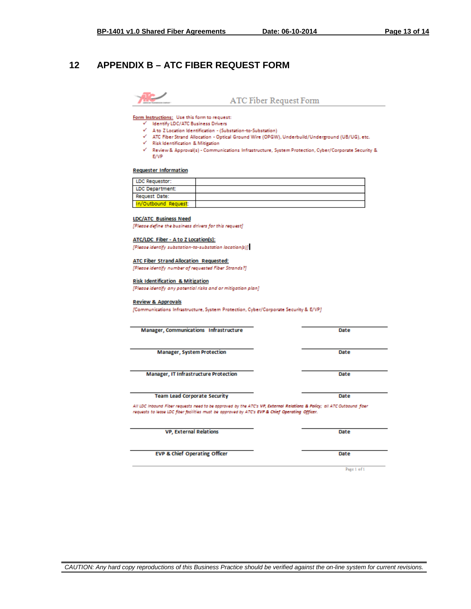# <span id="page-12-0"></span>**12 APPENDIX B – ATC FIBER REQUEST FORM**



ATC Fiber Request Form

Form Instructions: Use this form to request:

- $\checkmark$  Identify LDC/ATC Business Drivers
- √ A to Z Location Identification (Substation-to-Substation)
- ATC Fiber Strand Allocation Optical Ground Wire (OPGW), Underbuild/Underground (UB/UG), etc.
- $\checkmark$  Risk Identification & Mitigation
- V Review & Approval(s) Communications Infrastructure, System Protection, Cyber/Corporate Security & E/VP

#### **Requester Information**

| LDC Requestor:       |  |
|----------------------|--|
| LDC Department:      |  |
| Request Date:        |  |
| In/Outbound Request: |  |

#### **LDC/ATC Business Need**

[Please define the business drivers for this request]

#### ATC/LDC Fiber - A to Z Location(s):

[Please identify substation-to-substation location(s)]

#### ATC Fiber Strand Allocation Requested:

[Please identify number of requested Fiber Strands?]

#### **Risk Identification & Mitigation**

[Please identify any potential risks and or mitigation plan]

#### **Review & Approvals**

[Communications Infrastructure, System Protection, Cyber/Corporate Security & E/VP]

| Manager, Communications Infrastructure                                                                                                                                                                                                                            | Date |  |
|-------------------------------------------------------------------------------------------------------------------------------------------------------------------------------------------------------------------------------------------------------------------|------|--|
| <b>Manager, System Protection</b>                                                                                                                                                                                                                                 | Date |  |
| Manager, IT Infrastructure Protection                                                                                                                                                                                                                             | Date |  |
| <b>Team Lead Corporate Security</b><br>All LDC Inbound Fiber requests need to be approved by the ATC's VP, External Relations & Policy; all ATC Outbound fiber<br>requests to lease LDC floer facilities must be approved by ATC's EVP & Chief Operating Officer. | Date |  |
| <b>VP. External Relations</b>                                                                                                                                                                                                                                     | Date |  |
| <b>EVP &amp; Chief Operating Officer</b>                                                                                                                                                                                                                          | Date |  |

Page 1 of 1